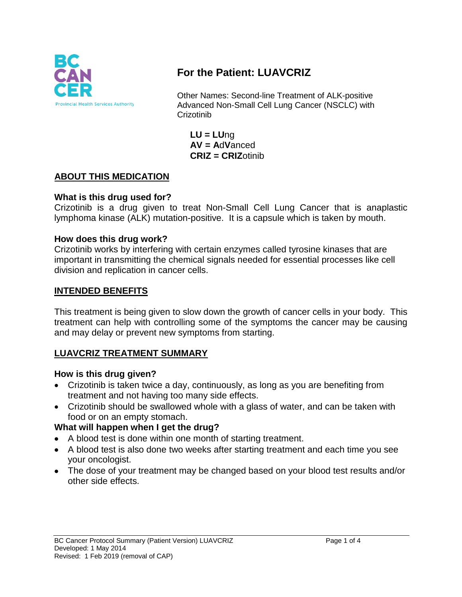

# **For the Patient: LUAVCRIZ**

Other Names: Second-line Treatment of ALK-positive Advanced Non-Small Cell Lung Cancer (NSCLC) with **Crizotinib** 

**LU = LU**ng **AV = A**d**V**anced **CRIZ = CRIZ**otinib

## **ABOUT THIS MEDICATION**

## **What is this drug used for?**

Crizotinib is a drug given to treat Non-Small Cell Lung Cancer that is anaplastic lymphoma kinase (ALK) mutation-positive. It is a capsule which is taken by mouth.

## **How does this drug work?**

Crizotinib works by interfering with certain enzymes called tyrosine kinases that are important in transmitting the chemical signals needed for essential processes like cell division and replication in cancer cells.

#### **INTENDED BENEFITS**

This treatment is being given to slow down the growth of cancer cells in your body. This treatment can help with controlling some of the symptoms the cancer may be causing and may delay or prevent new symptoms from starting.

## **LUAVCRIZ TREATMENT SUMMARY**

#### **How is this drug given?**

- Crizotinib is taken twice a day, continuously, as long as you are benefiting from treatment and not having too many side effects.
- Crizotinib should be swallowed whole with a glass of water, and can be taken with food or on an empty stomach.

## **What will happen when I get the drug?**

- A blood test is done within one month of starting treatment.
- A blood test is also done two weeks after starting treatment and each time you see your oncologist.
- The dose of your treatment may be changed based on your blood test results and/or other side effects.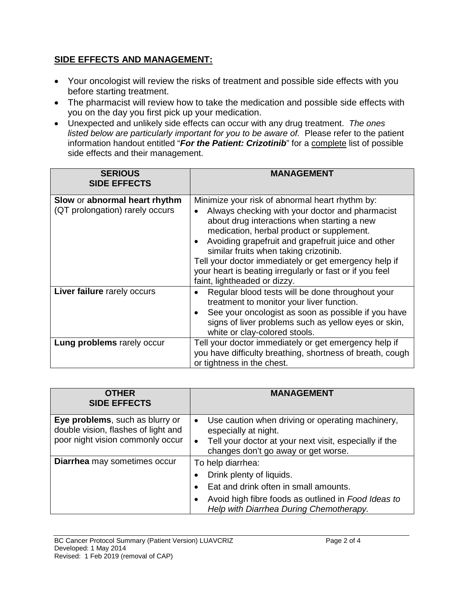## **SIDE EFFECTS AND MANAGEMENT:**

- Your oncologist will review the risks of treatment and possible side effects with you before starting treatment.
- The pharmacist will review how to take the medication and possible side effects with you on the day you first pick up your medication.
- Unexpected and unlikely side effects can occur with any drug treatment. *The ones listed below are particularly important for you to be aware of.* Please refer to the patient information handout entitled "*For the Patient: Crizotinib*" for a complete list of possible side effects and their management.

| <b>SERIOUS</b><br><b>SIDE EFFECTS</b>                            | <b>MANAGEMENT</b>                                                                                                                                                                                                                                                                                                                                                                                                                                   |
|------------------------------------------------------------------|-----------------------------------------------------------------------------------------------------------------------------------------------------------------------------------------------------------------------------------------------------------------------------------------------------------------------------------------------------------------------------------------------------------------------------------------------------|
| Slow or abnormal heart rhythm<br>(QT prolongation) rarely occurs | Minimize your risk of abnormal heart rhythm by:<br>Always checking with your doctor and pharmacist<br>about drug interactions when starting a new<br>medication, herbal product or supplement.<br>Avoiding grapefruit and grapefruit juice and other<br>similar fruits when taking crizotinib.<br>Tell your doctor immediately or get emergency help if<br>your heart is beating irregularly or fast or if you feel<br>faint, lightheaded or dizzy. |
| Liver failure rarely occurs                                      | Regular blood tests will be done throughout your<br>treatment to monitor your liver function.<br>See your oncologist as soon as possible if you have<br>signs of liver problems such as yellow eyes or skin,<br>white or clay-colored stools.                                                                                                                                                                                                       |
| Lung problems rarely occur                                       | Tell your doctor immediately or get emergency help if<br>you have difficulty breathing, shortness of breath, cough<br>or tightness in the chest.                                                                                                                                                                                                                                                                                                    |

| <b>OTHER</b><br><b>SIDE EFFECTS</b>                                                                        | <b>MANAGEMENT</b>                                                                                                                                                                        |
|------------------------------------------------------------------------------------------------------------|------------------------------------------------------------------------------------------------------------------------------------------------------------------------------------------|
| Eye problems, such as blurry or<br>double vision, flashes of light and<br>poor night vision commonly occur | Use caution when driving or operating machinery,<br>$\bullet$<br>especially at night.<br>Tell your doctor at your next visit, especially if the<br>changes don't go away or get worse.   |
| Diarrhea may sometimes occur                                                                               | To help diarrhea:<br>Drink plenty of liquids.<br>Eat and drink often in small amounts.<br>Avoid high fibre foods as outlined in Food Ideas to<br>Help with Diarrhea During Chemotherapy. |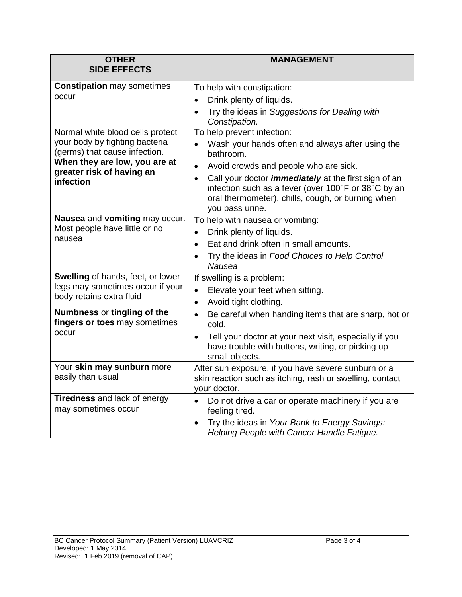| <b>OTHER</b>                                                                                                                                                                   | <b>MANAGEMENT</b>                                                                                                                                                                                       |
|--------------------------------------------------------------------------------------------------------------------------------------------------------------------------------|---------------------------------------------------------------------------------------------------------------------------------------------------------------------------------------------------------|
| <b>SIDE EFFECTS</b>                                                                                                                                                            |                                                                                                                                                                                                         |
| <b>Constipation may sometimes</b><br>occur                                                                                                                                     | To help with constipation:                                                                                                                                                                              |
|                                                                                                                                                                                | Drink plenty of liquids.                                                                                                                                                                                |
|                                                                                                                                                                                | Try the ideas in Suggestions for Dealing with<br>$\bullet$<br>Constipation.                                                                                                                             |
| Normal white blood cells protect<br>your body by fighting bacteria<br>(germs) that cause infection.<br>When they are low, you are at<br>greater risk of having an<br>infection | To help prevent infection:                                                                                                                                                                              |
|                                                                                                                                                                                | Wash your hands often and always after using the<br>bathroom.                                                                                                                                           |
|                                                                                                                                                                                | Avoid crowds and people who are sick.<br>$\bullet$                                                                                                                                                      |
|                                                                                                                                                                                | Call your doctor <i>immediately</i> at the first sign of an<br>$\bullet$<br>infection such as a fever (over 100°F or 38°C by an<br>oral thermometer), chills, cough, or burning when<br>you pass urine. |
| Nausea and vomiting may occur.<br>Most people have little or no<br>nausea                                                                                                      | To help with nausea or vomiting:                                                                                                                                                                        |
|                                                                                                                                                                                | Drink plenty of liquids.<br>$\bullet$                                                                                                                                                                   |
|                                                                                                                                                                                | Eat and drink often in small amounts.<br>$\bullet$                                                                                                                                                      |
|                                                                                                                                                                                | Try the ideas in Food Choices to Help Control<br>$\bullet$<br>Nausea                                                                                                                                    |
| Swelling of hands, feet, or lower<br>legs may sometimes occur if your<br>body retains extra fluid                                                                              | If swelling is a problem:                                                                                                                                                                               |
|                                                                                                                                                                                | Elevate your feet when sitting.<br>$\bullet$                                                                                                                                                            |
|                                                                                                                                                                                | Avoid tight clothing.<br>$\bullet$                                                                                                                                                                      |
| Numbness or tingling of the<br>fingers or toes may sometimes<br>occur                                                                                                          | Be careful when handing items that are sharp, hot or<br>$\bullet$<br>cold.                                                                                                                              |
|                                                                                                                                                                                | Tell your doctor at your next visit, especially if you<br>$\bullet$<br>have trouble with buttons, writing, or picking up<br>small objects.                                                              |
| Your skin may sunburn more<br>easily than usual                                                                                                                                | After sun exposure, if you have severe sunburn or a<br>skin reaction such as itching, rash or swelling, contact                                                                                         |
|                                                                                                                                                                                | your doctor.                                                                                                                                                                                            |
| <b>Tiredness and lack of energy</b><br>may sometimes occur                                                                                                                     | Do not drive a car or operate machinery if you are<br>$\bullet$<br>feeling tired.                                                                                                                       |
|                                                                                                                                                                                | Try the ideas in Your Bank to Energy Savings:<br>Helping People with Cancer Handle Fatigue.                                                                                                             |